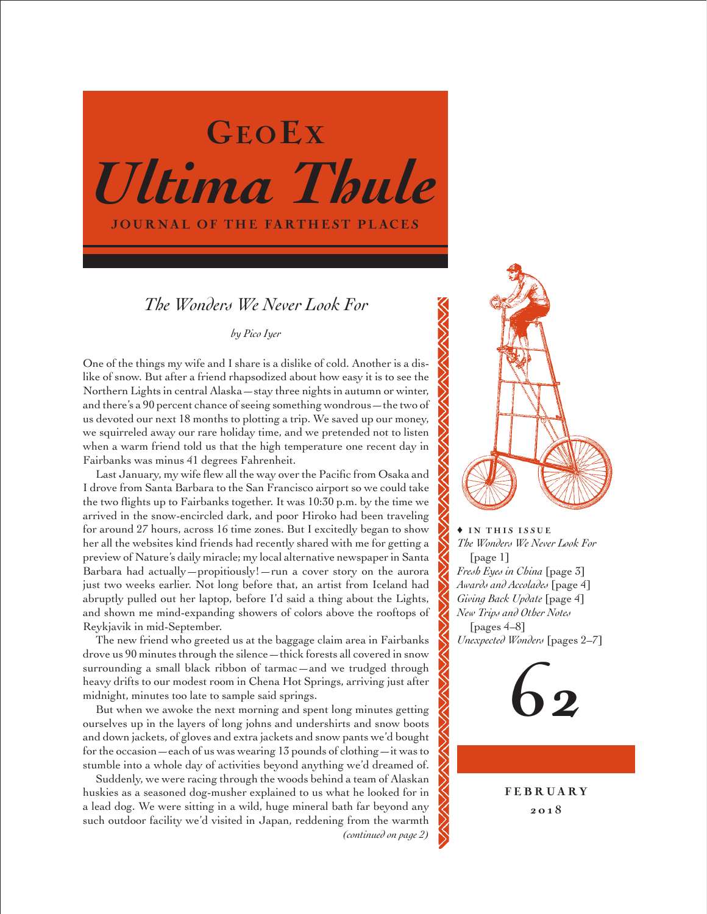# *Ultima Thule* JOURNAL OF THE FARTHEST PLACES GEOEX

# *The Wonders We Never Look For*

*by Pico Iyer*

One of the things my wife and I share is a dislike of cold. Another is a dislike of snow. But after a friend rhapsodized about how easy it is to see the Northern Lights in central Alaska—stay three nights in autumn or winter, and there's a 90 percent chance of seeing something wondrous—the two of us devoted our next 18 months to plotting a trip. We saved up our money, we squirreled away our rare holiday time, and we pretended not to listen when a warm friend told us that the high temperature one recent day in Fairbanks was minus 41 degrees Fahrenheit.

Last January, my wife flew all the way over the Pacific from Osaka and I drove from Santa Barbara to the San Francisco airport so we could take the two flights up to Fairbanks together. It was 10:30 p.m. by the time we arrived in the snow-encircled dark, and poor Hiroko had been traveling for around 27 hours, across 16 time zones. But I excitedly began to show her all the websites kind friends had recently shared with me for getting a preview of Nature's daily miracle; my local alternative newspaper in Santa Barbara had actually—propitiously!—run a cover story on the aurora just two weeks earlier. Not long before that, an artist from Iceland had abruptly pulled out her laptop, before I'd said a thing about the Lights, and shown me mind-expanding showers of colors above the rooftops of Reykjavik in mid-September.

The new friend who greeted us at the baggage claim area in Fairbanks drove us 90 minutes through the silence—thick forests all covered in snow surrounding a small black ribbon of tarmac—and we trudged through heavy drifts to our modest room in Chena Hot Springs, arriving just after midnight, minutes too late to sample said springs.

But when we awoke the next morning and spent long minutes getting ourselves up in the layers of long johns and undershirts and snow boots and down jackets, of gloves and extra jackets and snow pants we'd bought for the occasion—each of us was wearing 13 pounds of clothing—it was to stumble into a whole day of activities beyond anything we'd dreamed of.

Suddenly, we were racing through the woods behind a team of Alaskan huskies as a seasoned dog-musher explained to us what he looked for in a lead dog. We were sitting in a wild, huge mineral bath far beyond any such outdoor facility we'd visited in Japan, reddening from the warmth *(continued on page 2)*



 $\rightarrow$  IN THIS ISSUE *The Wonders We Never Look For*  [page 1] *Fresh Eyes in China* [page 3] *Awards and Accolades* [page 4] *Giving Back Update* [page 4] *New Trips and Other Notes*  [pages 4–8] *Unexpected Wonders* [pages 2–7]



**FEBRUARY** 201 8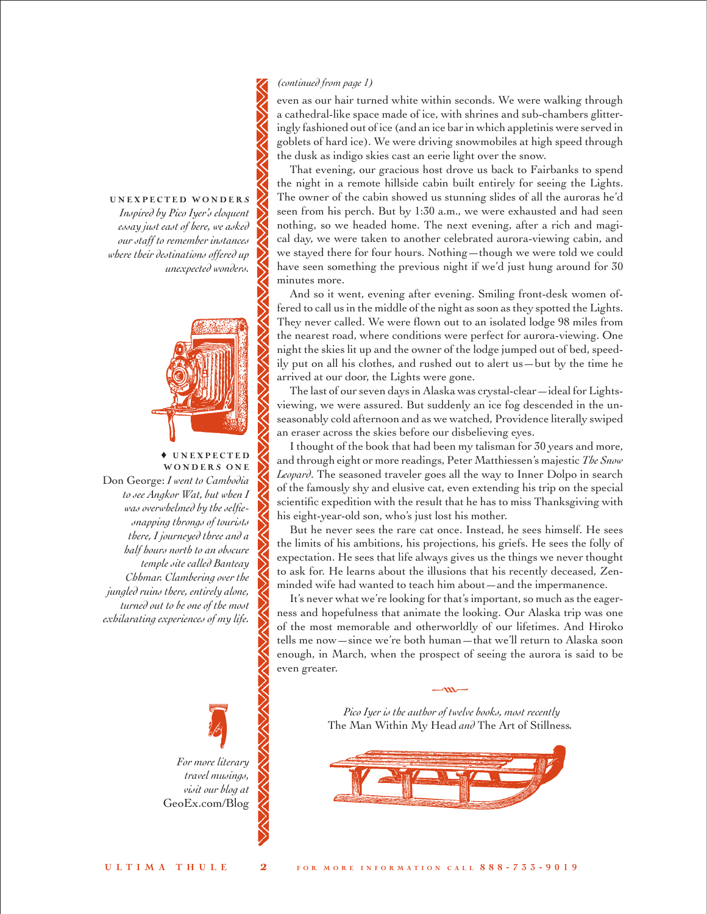# *(continued from page 1)*

even as our hair turned white within seconds. We were walking through a cathedral-like space made of ice, with shrines and sub-chambers glitteringly fashioned out of ice (and an ice bar in which appletinis were served in goblets of hard ice). We were driving snowmobiles at high speed through the dusk as indigo skies cast an eerie light over the snow.

That evening, our gracious host drove us back to Fairbanks to spend the night in a remote hillside cabin built entirely for seeing the Lights. The owner of the cabin showed us stunning slides of all the auroras he'd seen from his perch. But by 1:30 a.m., we were exhausted and had seen nothing, so we headed home. The next evening, after a rich and magical day, we were taken to another celebrated aurora-viewing cabin, and we stayed there for four hours. Nothing—though we were told we could have seen something the previous night if we'd just hung around for 30 minutes more.

And so it went, evening after evening. Smiling front-desk women offered to call us in the middle of the night as soon as they spotted the Lights. They never called. We were flown out to an isolated lodge 98 miles from the nearest road, where conditions were perfect for aurora-viewing. One night the skies lit up and the owner of the lodge jumped out of bed, speedily put on all his clothes, and rushed out to alert us—but by the time he arrived at our door, the Lights were gone.

The last of our seven days in Alaska was crystal-clear—ideal for Lightsviewing, we were assured. But suddenly an ice fog descended in the unseasonably cold afternoon and as we watched, Providence literally swiped an eraser across the skies before our disbelieving eyes.

I thought of the book that had been my talisman for 30 years and more, and through eight or more readings, Peter Matthiessen's majestic *The Snow Leopard*. The seasoned traveler goes all the way to Inner Dolpo in search of the famously shy and elusive cat, even extending his trip on the special scientific expedition with the result that he has to miss Thanksgiving with his eight-year-old son, who's just lost his mother.

But he never sees the rare cat once. Instead, he sees himself. He sees the limits of his ambitions, his projections, his griefs. He sees the folly of expectation. He sees that life always gives us the things we never thought to ask for. He learns about the illusions that his recently deceased, Zenminded wife had wanted to teach him about—and the impermanence.

It's never what we're looking for that's important, so much as the eagerness and hopefulness that animate the looking. Our Alaska trip was one of the most memorable and otherworldly of our lifetimes. And Hiroko tells me now—since we're both human—that we'll return to Alaska soon enough, in March, when the prospect of seeing the aurora is said to be even greater.

> *Pico Iyer is the author of twelve books, most recently*  The Man Within My Head *and* The Art of Stillness*.*

 $\mathbf{m}$ 



# UNEXPECTED WONDERS

*Inspired by Pico Iyer's eloquent essay just east of here, we asked our staff to remember instances where their destinations offered up unexpected wonders.*



♦ U N E X P E C T E D WONDERS ONE Don George: *I went to Cambodia to see Angkor Wat, but when I was overwhelmed by the selfiesnapping throngs of tourists there, I journeyed three and a half hours north to an obscure temple site called Banteay Chhmar. Clambering over the jungled ruins there, entirely alone, turned out to be one of the most exhilarating experiences of my life.*

> *For more literary travel musings, visit our blog at*  [GeoEx.com/Blog](www.GeoEx.com/Blog) •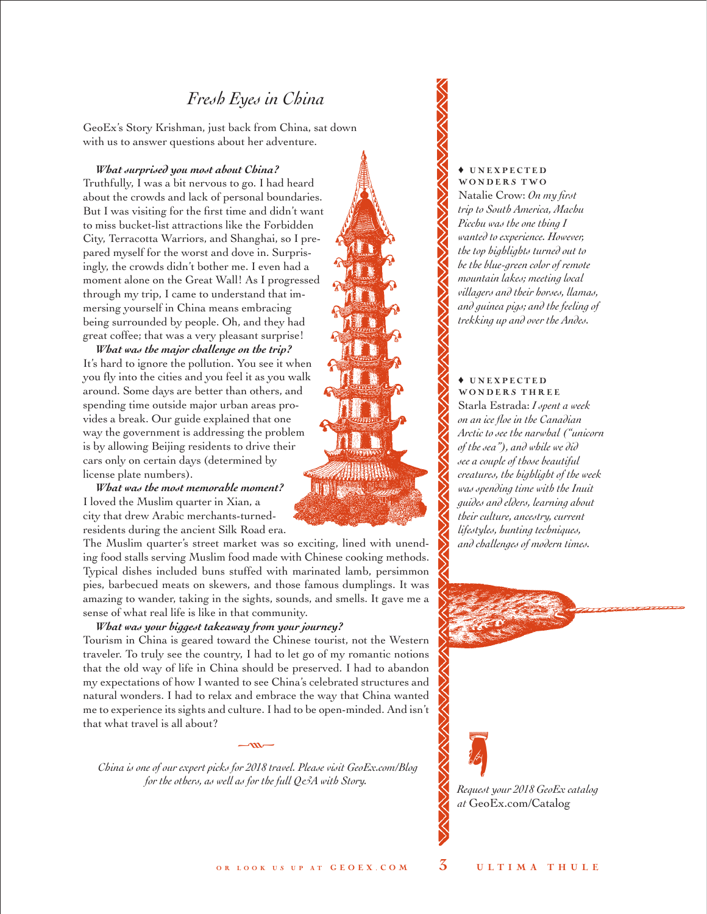# *Fresh Eyes in China*

GeoEx's Story Krishman, just back from China, sat down with us to answer questions about her adventure.

*What surprised you most about China?* 

Truthfully, I was a bit nervous to go. I had heard about the crowds and lack of personal boundaries. But I was visiting for the first time and didn't want to miss bucket-list attractions like the Forbidden City, Terracotta Warriors, and Shanghai, so I prepared myself for the worst and dove in. Surprisingly, the crowds didn't bother me. I even had a moment alone on the Great Wall! As I progressed through my trip, I came to understand that immersing yourself in China means embracing being surrounded by people. Oh, and they had great coffee; that was a very pleasant surprise!

*What was the major challenge on the trip?*  It's hard to ignore the pollution. You see it when you fly into the cities and you feel it as you walk around. Some days are better than others, and spending time outside major urban areas provides a break. Our guide explained that one way the government is addressing the problem is by allowing Beijing residents to drive their cars only on certain days (determined by license plate numbers).

*What was the most memorable moment?*  I loved the Muslim quarter in Xian, a city that drew Arabic merchants-turnedresidents during the ancient Silk Road era.

The Muslim quarter's street market was so exciting, lined with unending food stalls serving Muslim food made with Chinese cooking methods. Typical dishes included buns stuffed with marinated lamb, persimmon pies, barbecued meats on skewers, and those famous dumplings. It was amazing to wander, taking in the sights, sounds, and smells. It gave me a sense of what real life is like in that community.

*What was your biggest takeaway from your journey?* 

Tourism in China is geared toward the Chinese tourist, not the Western traveler. To truly see the country, I had to let go of my romantic notions that the old way of life in China should be preserved. I had to abandon my expectations of how I wanted to see China's celebrated structures and natural wonders. I had to relax and embrace the way that China wanted me to experience its sights and culture. I had to be open-minded. And isn't that what travel is all about?

*China is one of our expert picks for 2018 travel. Please visit [GeoEx.com/Blog](www.GeoEx.com/Blog)  for the others, as well as for the full Q&A with Story.* Request your 2018 GeoEx catalog

 $-m-$ 

♦ U N E X P E C T E D WONDERS TWO

Natalie Crow: *On my first trip to South America, Machu Picchu was the one thing I wanted to experience. However, the top highlights turned out to be the blue-green color of remote mountain lakes; meeting local villagers and their horses, llamas, and guinea pigs; and the feeling of trekking up and over the Andes.*

# ♦ U N E X P E C T E D WONDERS THREE Starla Estrada: *I spent a week on an ice floe in the Canadian Arctic to see the narwhal ("unicorn of the sea"), and while we did see a couple of those beautiful creatures, the highlight of the week was spending time with the Inuit guides and elders, learning about their culture, ancestry, current lifestyles, hunting techniques, and challenges of modern times.*



*at* [GeoEx.com/Catalog](www.GeoEx.com/Catalog)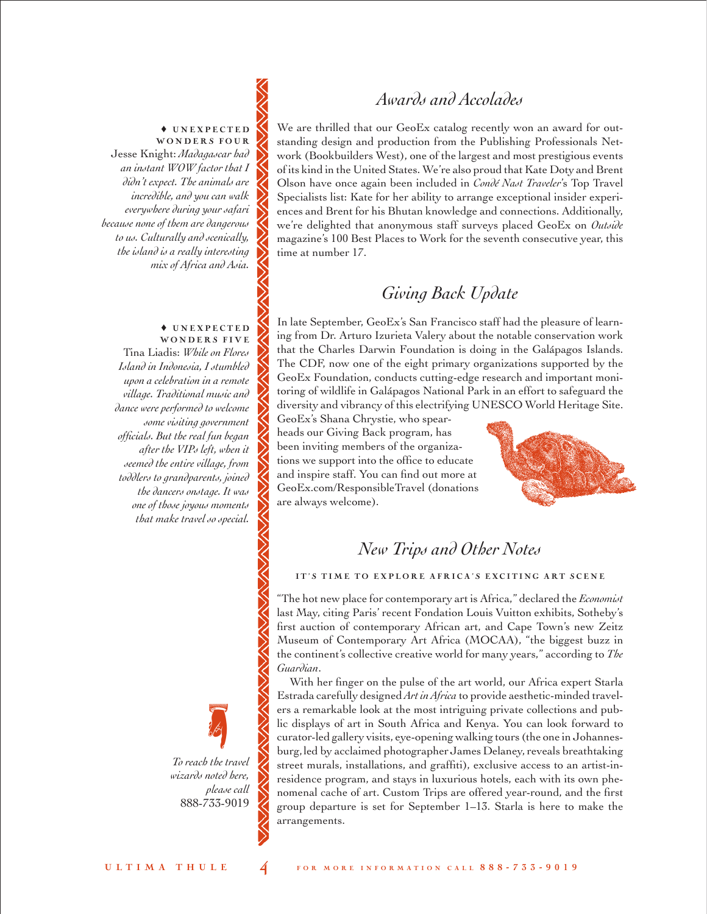# *Awards and Accolades*

♦ U N E X P E C T E D WONDERS FOUR

Jesse Knight: *Madagascar had an instant WOW factor that I didn't expect. The animals are incredible, and you can walk everywhere during your safari because none of them are dangerous to us. Culturally and scenically, the island is a really interesting mix of Africa and Asia.* 

#### ♦ U N E X P E C T E D WONDERS FIVE

Tina Liadis: *While on Flores Island in Indonesia, I stumbled upon a celebration in a remote village. Traditional music and dance were performed to welcome some visiting government officials. But the real fun began after the VIPs left, when it seemed the entire village, from toddlers to grandparents, joined the dancers onstage. It was one of those joyous moments that make travel so special.*

> *To reach the travel wizards noted here, please call*  888-733-9019 •

We are thrilled that our GeoEx catalog recently won an award for outstanding design and production from the Publishing Professionals Network (Bookbuilders West), one of the largest and most prestigious events of its kind in the United States. We're also proud that Kate Doty and Brent Olson have once again been included in *Condé Nast Traveler*'s Top Travel Specialists list: Kate for her ability to arrange exceptional insider experiences and Brent for his Bhutan knowledge and connections. Additionally, we're delighted that anonymous staff surveys placed GeoEx on *Outside* magazine's 100 Best Places to Work for the seventh consecutive year, this time at number 17.

# *Giving Back Update*

In late September, GeoEx's San Francisco staff had the pleasure of learning from Dr. Arturo Izurieta Valery about the notable conservation work that the Charles Darwin Foundation is doing in the Galápagos Islands. The CDF, now one of the eight primary organizations supported by the GeoEx Foundation, conducts cutting-edge research and important monitoring of wildlife in Galápagos National Park in an effort to safeguard the diversity and vibrancy of this electrifying UNESCO World Heritage Site.

GeoEx's Shana Chrystie, who spearheads our Giving Back program, has been inviting members of the organizations we support into the office to educate and inspire staff. You can find out more at [GeoEx.com/ResponsibleTravel](www.GeoEx.com/Responsible-Travel) (donations are always welcome).



# *New Trips and Other Notes*

## IT'S TIME TO EXPLORE AFRICA'S EXCITING ART SCENE

"The hot new place for contemporary art is Africa," declared the *Economist*  last May, citing Paris' recent Fondation Louis Vuitton exhibits, Sotheby's first auction of contemporary African art, and Cape Town's new Zeitz Museum of Contemporary Art Africa (MOCAA), "the biggest buzz in the continent's collective creative world for many years," according to *The Guardian*.

With her finger on the pulse of the art world, our Africa expert Starla Estrada carefully designed *Art in Africa* to provide aesthetic-minded travelers a remarkable look at the most intriguing private collections and public displays of art in South Africa and Kenya. You can look forward to curator-led gallery visits, eye-opening walking tours (the one in Johannesburg, led by acclaimed photographer James Delaney, reveals breathtaking street murals, installations, and graffiti), exclusive access to an artist-inresidence program, and stays in luxurious hotels, each with its own phenomenal cache of art. Custom Trips are offered year-round, and the first group departure is set for September 1–13. Starla is here to make the arrangements.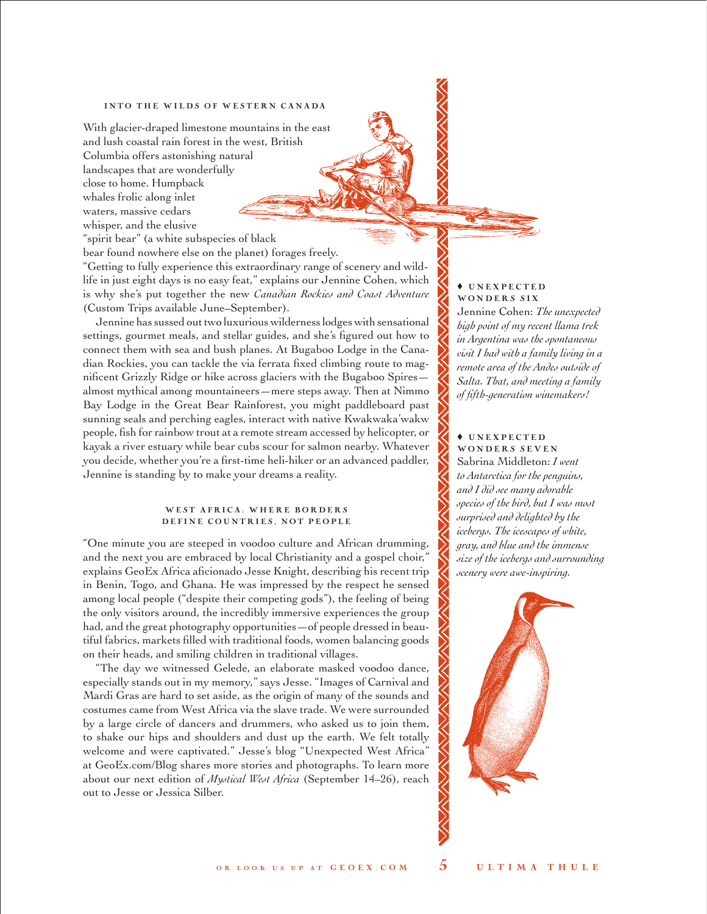## INTO THE WILDS OF WESTERN CANADA

With glacier-draped limestone mountains in the east and lush coastal rain forest in the west, British Columbia offers astonishing natural landscapes that are wonderfully close to home. Humpback whales frolic along inlet waters, massive cedars whisper, and the elusive

"spirit bear" (a white subspecies of black

bear found nowhere else on the planet) forages freely.

"Getting to fully experience this extraordinary range of scenery and wildlife in just eight days is no easy feat," explains our Jennine Cohen, which is why she's put together the new *Canadian Rockies and Coast Adventure* (Custom Trips available June–September).

Jennine has sussed out two luxurious wilderness lodges with sensational settings, gourmet meals, and stellar guides, and she's figured out how to connect them with sea and bush planes. At Bugaboo Lodge in the Canadian Rockies, you can tackle the via ferrata fixed climbing route to magnificent Grizzly Ridge or hike across glaciers with the Bugaboo Spires almost mythical among mountaineers—mere steps away. Then at Nimmo Bay Lodge in the Great Bear Rainforest, you might paddleboard past sunning seals and perching eagles, interact with native Kwakwaka'wakw people, fish for rainbow trout at a remote stream accessed by helicopter, or kayak a river estuary while bear cubs scour for salmon nearby. Whatever you decide, whether you're a first-time heli-hiker or an advanced paddler, Jennine is standing by to make your dreams a reality.

#### WEST AFRICA: WHERE BORDERS DEFINE COUNTRIES, NOT PEOPLE

"One minute you are steeped in voodoo culture and African drumming, and the next you are embraced by local Christianity and a gospel choir," explains GeoEx Africa aficionado Jesse Knight, describing his recent trip in Benin, Togo, and Ghana. He was impressed by the respect he sensed among local people ("despite their competing gods"), the feeling of being the only visitors around, the incredibly immersive experiences the group had, and the great photography opportunities—of people dressed in beautiful fabrics, markets filled with traditional foods, women balancing goods on their heads, and smiling children in traditional villages.

"The day we witnessed Gelede, an elaborate masked voodoo dance, especially stands out in my memory," says Jesse. "Images of Carnival and Mardi Gras are hard to set aside, as the origin of many of the sounds and costumes came from West Africa via the slave trade. We were surrounded by a large circle of dancers and drummers, who asked us to join them, to shake our hips and shoulders and dust up the earth. We felt totally welcome and were captivated." Jesse's blog "Unexpected West Africa" at [GeoEx.com/Blog](www.GeoEx.com/Blog) shares more stories and photographs. To learn more about our next edition of *Mystical West Africa* (September 14–26), reach out to Jesse or Jessica Silber.

## ♦ U N E X P E C T E D WONDERS SIX

Jennine Cohen: *The unexpected high point of my recent llama trek in Argentina was the spontaneous visit I had with a family living in a remote area of the Andes outside of Salta. That, and meeting a family of fifth-generation winemakers!* 

#### ♦ U N E X P E C T E D WONDERS SEVEN

Sabrina Middleton: *I went to Antarctica for the penguins, and I did see many adorable species of the bird, but I was most surprised and delighted by the icebergs. The icescapes of white, gray, and blue and the immense size of the icebergs and surrounding scenery were awe-inspiring.*

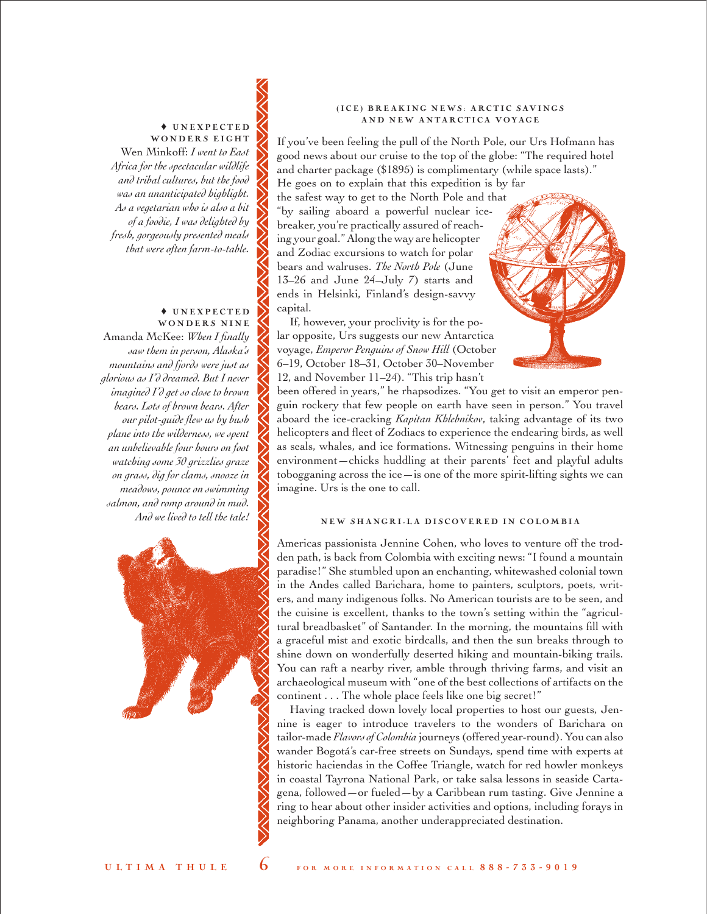### ♦ U N E X P E C T E D WONDERS EIGHT

Wen Minkoff: *I went to East Africa for the spectacular wildlife and tribal cultures, but the food was an unanticipated highlight. As a vegetarian who is also a bit of a foodie, I was delighted by fresh, gorgeously presented meals that were often farm-to-table.* 

#### ♦ U N E X P E C T E D WONDERS NINE

Amanda McKee: *When I finally saw them in person, Alaska's mountains and fjords were just as glorious as I'd dreamed. But I never imagined I'd get so close to brown bears. Lots of brown bears. After our pilot-guide flew us by bush plane into the wilderness, we spent an unbelievable four hours on foot watching some 30 grizzlies graze on grass, dig for clams, snooze in meadows, pounce on swimming salmon, and romp around in mud. And we lived to tell the tale!*



## (ICE) BREAKING NEWS: ARCTIC SAVINGS AND NEW ANTARCTICA VOYAGE

If you've been feeling the pull of the North Pole, our Urs Hofmann has good news about our cruise to the top of the globe: "The required hotel and charter package (\$1895) is complimentary (while space lasts)." He goes on to explain that this expedition is by far

the safest way to get to the North Pole and that "by sailing aboard a powerful nuclear icebreaker, you're practically assured of reaching your goal." Along the way are helicopter and Zodiac excursions to watch for polar bears and walruses. *The North Pole* (June 13–26 and June 24–July 7) starts and ends in Helsinki, Finland's design-savvy capital.

If, however, your proclivity is for the polar opposite, Urs suggests our new Antarctica voyage, *Emperor Penguins of Snow Hill* (October 6–19, October 18–31, October 30–November 12, and November 11–24). "This trip hasn't

been offered in years," he rhapsodizes. "You get to visit an emperor penguin rockery that few people on earth have seen in person." You travel aboard the ice-cracking *Kapitan Khlebnikov*, taking advantage of its two helicopters and fleet of Zodiacs to experience the endearing birds, as well as seals, whales, and ice formations. Witnessing penguins in their home environment—chicks huddling at their parents' feet and playful adults tobogganing across the ice—is one of the more spirit-lifting sights we can imagine. Urs is the one to call.

# NEW SHANGRI-LA DISCOVERED IN COLOMBIA

Americas passionista Jennine Cohen, who loves to venture off the trodden path, is back from Colombia with exciting news: "I found a mountain paradise!" She stumbled upon an enchanting, whitewashed colonial town in the Andes called Barichara, home to painters, sculptors, poets, writers, and many indigenous folks. No American tourists are to be seen, and the cuisine is excellent, thanks to the town's setting within the "agricultural breadbasket" of Santander. In the morning, the mountains fill with a graceful mist and exotic birdcalls, and then the sun breaks through to shine down on wonderfully deserted hiking and mountain-biking trails. You can raft a nearby river, amble through thriving farms, and visit an archaeological museum with "one of the best collections of artifacts on the continent . . . The whole place feels like one big secret!"

Having tracked down lovely local properties to host our guests, Jennine is eager to introduce travelers to the wonders of Barichara on tailor-made *Flavors of Colombia* journeys (offered year-round). You can also wander Bogotá's car-free streets on Sundays, spend time with experts at historic haciendas in the Coffee Triangle, watch for red howler monkeys in coastal Tayrona National Park, or take salsa lessons in seaside Cartagena, followed—or fueled—by a Caribbean rum tasting. Give Jennine a ring to hear about other insider activities and options, including forays in neighboring Panama, another underappreciated destination.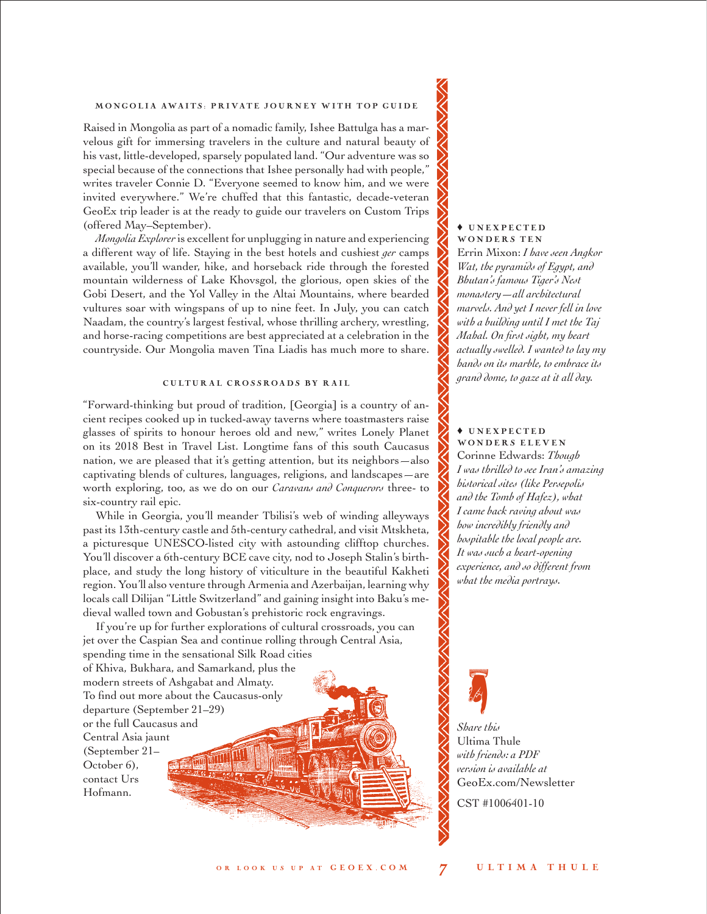## MONGOLIA AWAITS: PRIVATE JOURNEY WITH TOP GUIDE

Raised in Mongolia as part of a nomadic family, Ishee Battulga has a marvelous gift for immersing travelers in the culture and natural beauty of his vast, little-developed, sparsely populated land. "Our adventure was so special because of the connections that Ishee personally had with people," writes traveler Connie D. "Everyone seemed to know him, and we were invited everywhere." We're chuffed that this fantastic, decade-veteran GeoEx trip leader is at the ready to guide our travelers on Custom Trips (offered May–September).

*Mongolia Explorer* is excellent for unplugging in nature and experiencing a different way of life. Staying in the best hotels and cushiest *ger* camps available, you'll wander, hike, and horseback ride through the forested mountain wilderness of Lake Khovsgol, the glorious, open skies of the Gobi Desert, and the Yol Valley in the Altai Mountains, where bearded vultures soar with wingspans of up to nine feet. In July, you can catch Naadam, the country's largest festival, whose thrilling archery, wrestling, and horse-racing competitions are best appreciated at a celebration in the countryside. Our Mongolia maven Tina Liadis has much more to share.

#### CULTURAL CROSSROADS BY RAIL

"Forward-thinking but proud of tradition, [Georgia] is a country of ancient recipes cooked up in tucked-away taverns where toastmasters raise glasses of spirits to honour heroes old and new," writes Lonely Planet on its 2018 Best in Travel List. Longtime fans of this south Caucasus nation, we are pleased that it's getting attention, but its neighbors—also captivating blends of cultures, languages, religions, and landscapes—are worth exploring, too, as we do on our *Caravans and Conquerors* three- to six-country rail epic.

While in Georgia, you'll meander Tbilisi's web of winding alleyways past its 13th-century castle and 5th-century cathedral, and visit Mtskheta, a picturesque UNESCO-listed city with astounding clifftop churches. You'll discover a 6th-century BCE cave city, nod to Joseph Stalin's birthplace, and study the long history of viticulture in the beautiful Kakheti region. You'll also venture through Armenia and Azerbaijan, learning why locals call Dilijan "Little Switzerland" and gaining insight into Baku's medieval walled town and Gobustan's prehistoric rock engravings.

If you're up for further explorations of cultural crossroads, you can jet over the Caspian Sea and continue rolling through Central Asia, spending time in the sensational Silk Road cities of Khiva, Bukhara, and Samarkand, plus the modern streets of Ashgabat and Almaty. To find out more about the Caucasus-only departure (September 21–29) or the full Caucasus and Central Asia jaunt (September 21– **MITTING** October 6), contact Urs Hofmann.

#### ♦ U N E X P E C T E D WONDERS TEN

Errin Mixon: *I have seen Angkor Wat, the pyramids of Egypt, and Bhutan's famous Tiger's Nest monastery—all architectural marvels. And yet I never fell in love with a building until I met the Taj Mahal. On first sight, my heart actually swelled. I wanted to lay my hands on its marble, to embrace its grand dome, to gaze at it all day.* 

#### ♦ U N E X P E C T E D WONDERS ELEVEN

Corinne Edwards: *Though I was thrilled to see Iran's amazing historical sites (like Persepolis and the Tomb of Hafez), what I came back raving about was how incredibly friendly and hospitable the local people are. It was such a heart-opening experience, and so different from what the media portrays.* 



*Share this*  Ultima Thule *with friends: a PDF version is available at* [GeoEx.com/Newsletter](www.GeoEx.com/Newsletter)

CST #1006401-10